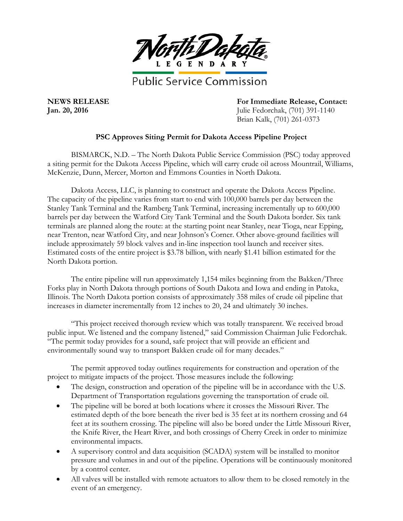

**Public Service Commission** 

**NEWS RELEASE For Immediate Release, Contact: Jan. 20, 2016** Julie Fedorchak, (701) 391-1140 Brian Kalk, (701) 261-0373

## **PSC Approves Siting Permit for Dakota Access Pipeline Project**

BISMARCK, N.D. – The North Dakota Public Service Commission (PSC) today approved a siting permit for the Dakota Access Pipeline, which will carry crude oil across Mountrail, Williams, McKenzie, Dunn, Mercer, Morton and Emmons Counties in North Dakota.

Dakota Access, LLC, is planning to construct and operate the Dakota Access Pipeline. The capacity of the pipeline varies from start to end with 100,000 barrels per day between the Stanley Tank Terminal and the Ramberg Tank Terminal, increasing incrementally up to 600,000 barrels per day between the Watford City Tank Terminal and the South Dakota border. Six tank terminals are planned along the route: at the starting point near Stanley, near Tioga, near Epping, near Trenton, near Watford City, and near Johnson's Corner. Other above-ground facilities will include approximately 59 block valves and in-line inspection tool launch and receiver sites. Estimated costs of the entire project is \$3.78 billion, with nearly \$1.41 billion estimated for the North Dakota portion.

The entire pipeline will run approximately 1,154 miles beginning from the Bakken/Three Forks play in North Dakota through portions of South Dakota and Iowa and ending in Patoka, Illinois. The North Dakota portion consists of approximately 358 miles of crude oil pipeline that increases in diameter incrementally from 12 inches to 20, 24 and ultimately 30 inches.

"This project received thorough review which was totally transparent. We received broad public input. We listened and the company listened," said Commission Chairman Julie Fedorchak. "The permit today provides for a sound, safe project that will provide an efficient and environmentally sound way to transport Bakken crude oil for many decades."

The permit approved today outlines requirements for construction and operation of the project to mitigate impacts of the project. Those measures include the following:

- The design, construction and operation of the pipeline will be in accordance with the U.S. Department of Transportation regulations governing the transportation of crude oil.
- The pipeline will be bored at both locations where it crosses the Missouri River. The estimated depth of the bore beneath the river bed is 35 feet at its northern crossing and 64 feet at its southern crossing. The pipeline will also be bored under the Little Missouri River, the Knife River, the Heart River, and both crossings of Cherry Creek in order to minimize environmental impacts.
- A supervisory control and data acquisition (SCADA) system will be installed to monitor pressure and volumes in and out of the pipeline. Operations will be continuously monitored by a control center.
- All valves will be installed with remote actuators to allow them to be closed remotely in the event of an emergency.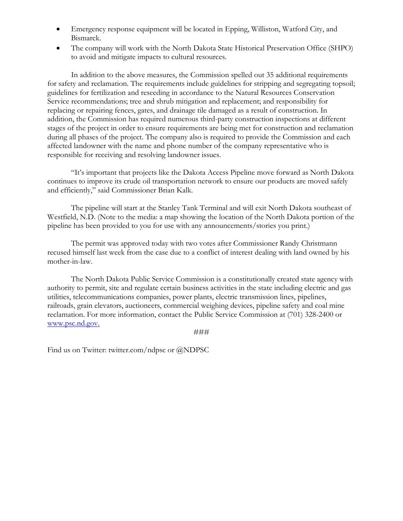- Emergency response equipment will be located in Epping, Williston, Watford City, and Bismarck.
- The company will work with the North Dakota State Historical Preservation Office (SHPO) to avoid and mitigate impacts to cultural resources.

In addition to the above measures, the Commission spelled out 35 additional requirements for safety and reclamation. The requirements include guidelines for stripping and segregating topsoil; guidelines for fertilization and reseeding in accordance to the Natural Resources Conservation Service recommendations; tree and shrub mitigation and replacement; and responsibility for replacing or repairing fences, gates, and drainage tile damaged as a result of construction. In addition, the Commission has required numerous third-party construction inspections at different stages of the project in order to ensure requirements are being met for construction and reclamation during all phases of the project. The company also is required to provide the Commission and each affected landowner with the name and phone number of the company representative who is responsible for receiving and resolving landowner issues.

"It's important that projects like the Dakota Access Pipeline move forward as North Dakota continues to improve its crude oil transportation network to ensure our products are moved safely and efficiently," said Commissioner Brian Kalk.

The pipeline will start at the Stanley Tank Terminal and will exit North Dakota southeast of Westfield, N.D. (Note to the media: a map showing the location of the North Dakota portion of the pipeline has been provided to you for use with any announcements/stories you print.)

The permit was approved today with two votes after Commissioner Randy Christmann recused himself last week from the case due to a conflict of interest dealing with land owned by his mother-in-law.

The North Dakota Public Service Commission is a constitutionally created state agency with authority to permit, site and regulate certain business activities in the state including electric and gas utilities, telecommunications companies, power plants, electric transmission lines, pipelines, railroads, grain elevators, auctioneers, commercial weighing devices, pipeline safety and coal mine reclamation. For more information, contact the Public Service Commission at (701) 328-2400 or [www.psc.nd.gov.](http://www.psc.nd.gov/)

###

Find us on Twitter: twitter.com/ndpsc or @NDPSC